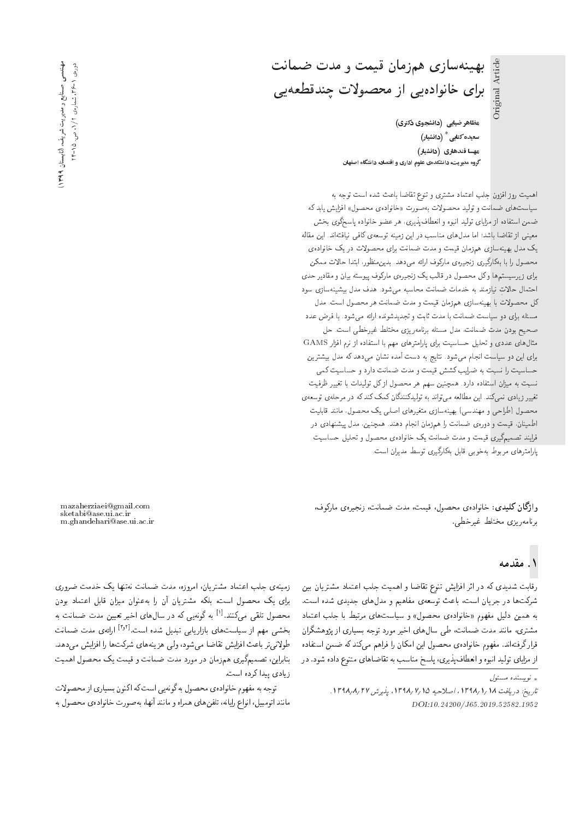بهینهسازی همزمان قیمت و مدت ضمانت برای خانوادهیی از محصولات چندقطعهیی

مظاهر ضیایی (دانشجوی دکتری) سعیده کتابی  $^*$  (دانشیار) مهسا قندهاری (دانشیار) گروه مدیریت، دانشکدهی علوم اداری و اقتصاد، دانشگاه اصفهان Original Article

اهميت روزافزون جلب اعتماد مشترى وتنوع تقاضا باعث شده است توجه به سیاست های ضمانت و تولید محصولات بهصورت «خانوادهی محصول» افزایش یابد که ضمن استفاده از مزاياى توليد انبوه و انعطاف پذيرى، هر عضو خانواده پاسخگوى بخش معینی از تقاضا باشد؛ اما مدل های مناسب در این زمینه توسعهی کافی نیافتهاند. این مقاله یک مدل بهینهسازی همزمان قیمت و مدت ضمانت برای محصولات در یک خانوادهی محصول را با بهکارگیری زنجبیرهی مارکوف ارائه می،دهد. بدین.منظور، ابتدا حالات ممکن برای زیرسیستم ها وکل محصول در قالب یک زنجیرهی مارکوف پیوسته بیان و مقادیر حدی احتمال حالات نیازمند به خدمات ضمانت محاسبه می شود. هدف مدل بیشینه سازی سود كل محصولات با بهينهسازي همزمان قيمت و مدت ضمانت هر محصول است. مدل مسئله برای دو سیاست ضمانت با مدت ثابت و تجدیدشونده ارائه می شود. با فرض عدد صحيح بودن مدت ضمانت، مدل مسئله برنامهريزي مختلط غيرخطي است. حل مثال های عددی و تحلیل حساسیت برای پارامترهای مهم با استفاده از نرم افزار GAMS برای این دو سیاست انجام می شود. نتایج به دست آمده نشان می دهد که مدل بیشترین حساسیت را نسبت به ضرایب کشش قیمت و مدت ضمانت دارد و حساسیت کمی نسبت به میزان استفاده دارد. همچنین سهم هر محصول ازکل تولیدات با تغییر ظرفیت تغییر زیادی نسیکند. این مطالعه میتواند به تولیدکنندگان کمک کند که در مرحلهی توسعهی محصول (طراحی و مهندسی) بهینهسازی متغیرهای اصلبی یک محصول، مانند قابلیت اطمینان، قیمت و دورهی ضمانت را همزمان انجام دهند. همچنین، مدل پیشنهادی در فرايند تصميم گيري قيمت و مدت ضمانت يک خانوادهي محصول و تحليل حساسيت پارامترهای مربوط بهخوبی قابل بهکارگیری توسط مدیران است.

واژگان کلیدی: خانوادهی محصول، قیمت، مدت ضمانت، زنجیرهی مارکوف، برنامەرىزى مختلط غىرخطى.

mazaherziaei@gmail.com sketabi@ase.ui.ac.ir m.ghandehari@ase.ui.ac.ir

# ۱. مقدمه

رقابت شدیدی که در اثر افزایش تنوع تقاضا و اهمیت جلب اعتماد مشتریان بین شرکتها در جریان است، باعث توسعهی مفاهیم و مدلهای جدیدی شده است. به همین دلیل مفهوم «خانوادهی محصول» و سیاستهای مرتبط با جلب اعتماد مشتری، مانند مدت ضمانت، طی سال های اخیر مورد توجه بسیاری از پژوهشگران قرارگرفتهاند. مفهوم خانوادهی محصول این امکان را فراهم میکند که ضمن استفاده از مزایای تولید انبوه و انعطاف پذیری، پاسخ مناسب به تقاضاهای متنوع داده شود. در

زمینهی جلب اعتماد مشتریان، امروزه، مدت ضمانت نهتنها یک خدمت ضروری برای یک محصول است، بلکه مشتریان آن را بهعنوان میزان قابل اعتماد بودن محصول تلقی میکنند.<sup>[۱]</sup> به گونهیی که در سالهای اخیر تعیین مدت ضمانت به بخشی مهم از سیاستهای بازاریابی تبدیل شده است.<sup>[۳٫۲]</sup> ارائهی مدت ضمانت طولانی تر باعث افزایش تقاضا میشود، ولی هزینههای شرکتها را افزایش می,دهد. بنابراین، تصمیمگیری همزمان در مورد مدت ضمانت و قیمت یک محصول اهمیت زيادى پيدا كرده است.

توجه به مفهوم خانوادهى محصول به گونهيى است كه اكنون بسيارى از محصولات مانند اتومبيل، انواع رايانه، تلفن هاى همراه و مانند أنها، بهصورت خانوادهى محصول به

<sup>.&</sup>lt;br>\* نويسنده مسئول

تاريخ: دريافت ١/ ١/ ١٣٩٨، اصلاحيه ١/ ١٣٩٨، يذيرش ٢٧ /١٣٩٨. DOI:10.24200/J65.2019.52582.1952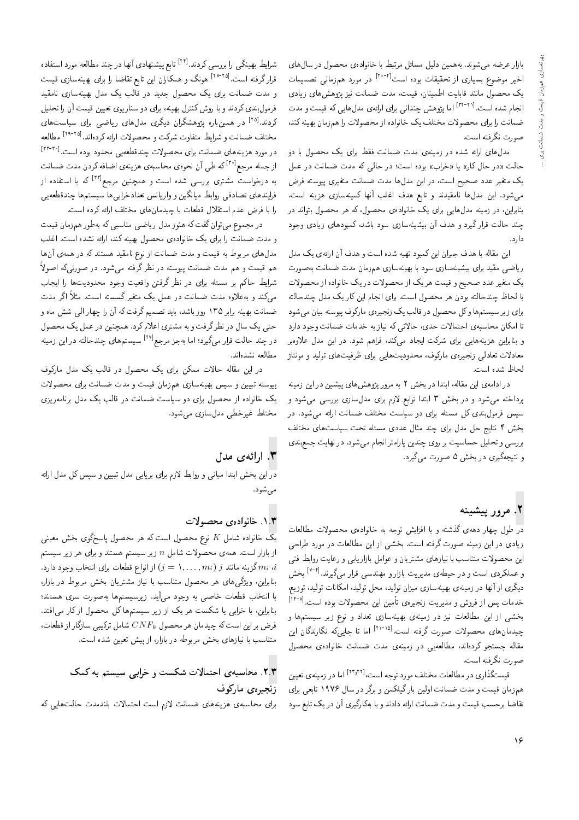بازار عرضه می شوند. به همین دلیل مسائل مرتبط با خانوادهی محصول در سال های اخیر موضوع بسیاری از تحقیقات بوده است<sup>۲۰-۲۱</sup> در مورد همزمان<sub>ی</sub> تصمیمات یک محصول مانند قابلیت اطمینان، قیمت، مدت ضمانت نیز پژوهش های زیادی انجام شده است.<sup>[۳۲-۲۱]</sup> اما پژوهش چندانی برای ارائهی مدلهایی که قیمت و مدت ضمانت را برای محصولات مختلف یک خانواده از محصولات را همزمان بهینه کند، صورت نگرفته است.

مدلهای ارائه شده در زمینهی مدت ضمانت فقط برای یک محصول با دو حالت «در حال كار» يا «خراب» بوده است؛ در حالي كه مدت ضمانت در عمل یک متغیر عدد صحیح است، در این مدلها مدت ضمانت متغیری پیوسته فرض می شود. این مدلها نامقیدند و تابع هدف اغلب آنها کمینهسازی هزینه است. .<br>بنابراین، در زمینه مدلهایی برای یک خانوادهی محصول، که هر محصول بتواند در چند حالت قرار گیرد و هدف آن بیشینهسازی سود باشد، کمبودهای زیادی وجود دار د.

این مقاله با هدف جبران این کمبود تهیه شده است و هدف آن ارائهی یک مدل ریاضی مقید برای بیشینهسازی سود با بهینهسازی همزمان مدت ضمانت بهصورت يک متغير عدد صحيح و قيمت هر يک از محصولات در يک خانواده از محصولات با لحاظ چندحالته بودن هر محصول است. برای انجام این کار یک مدل چندحالته برای زیر سیستم ها و کل محصول در قالب یک زنجیرهی مارکوف پیوسته بیان می شود تا امکان محاسبهی احتمالات حدی، حالاتی که نیاز به خدمات ضمانت وجود دارد و بنابراین هزینههایی برای شرکت ایجاد میکند، فراهم شود. در این مدل علاوهبر معادلات تعادلبي زنجيرهى ماركوف، محدوديتهايي براى ظرفيتهاى توليد و مونتاژ لحاظ شده است.

در ادامهی این مقاله، ابتدا در بخش ۲ به مرور پژوهش های پیشین در این زمینه پرداخته می شود و در بخش ۳ ابتدا توابع لازم برای مدل $\omega$ ازی بررسی می شود و سپس فرمولبندی کل مسئله برای دو سیاست مختلف ضمانت ارائه می شود. در بخش ۴ نتایج حل مدل برای چند مثال عددی مسئله تحت سیاستهای مختلف بررسی و تحلیل حساسیت بر روی چندین پارامتر انجام میشود. در نهایت جمع بندی و نتیجهگیری در بخش ۵ صورت میگیرد.

# ۲. مرور پیشینه

در طول چهار دههی گذشته و با افزایش توجه به خانوادهی محصولات مطالعات زیادی در این زمینه صورت گرفته است. بخشبی از این مطالعات در مورد طراحی این محصولات متناسب با نیازهای مشتریان و عوامل بازاریابی و رعایت روابط فنبی و عملکردی است و در حیطهی مدیریت بازار و مهندسی قرار می گیرند.<sup>[۲-۲]</sup> بخش دیگری از آنها در زمینه،ی بهینهسازی میزان تولید، محل تولید، امکانات تولید، توزیع، خدمات پس از فروش و مدیریت زنجیرهی تأمین این محصولات بوده است.[۱۴-۸] بخشی از این مطالعات نیز در زمینهی بهینهسازی تعداد و نوع زیر سیستمها و چیدمانهای محصولات صورت گرفته است.<sup>[۲۱-۱۵]</sup> اما تا جای<sub>م</sub>که نگارندگان این مقاله جستجو کردهاند، مطالعهیی در زمینهی مدت ضمانت خانوادهی محصول صورت نگرفته است.

قیمتگذاری در مطالعات مختلف مورد توجه است،<sup>[۲۳٫۲۲]</sup> اما در زمینهی تعیین همزمان قیمت و مدت ضمانت اولین بارگیلکمن و برگر در سال ۱۹۷۶ تابعی برای تقاضا برحسب قیمت و مدت ضمانت ارائه دادند و با بهکارگیری آن در یک تابع سود

شرایط بهینگی را بررسی کردند.<sup>[۲۴]</sup> تابع پیشنهادی آنها در چند مطالعه مورد استفاده قرار گرفته است.<sup>[۲۷-۲۵]</sup> هونگ و همکاران این تابع تقاضا را برای بهینهسازی قیمت و مدت ضمانت برای یک محصول جدید در قالب یک مدل بهینهسازی نامقید فرمول بندی کردند و با روش کنترل بهینه، برای دو سناریوی تعیین قیمت آن را تحلیل کردند.<sup>[۲۵]</sup> در همینباره پژوهشگران دیگری مدلهای ریاضی برای سیاستهای مختلف ضمانت و شرایط متفاوت شرکت و محصولات ارائه کردهاند.<sup>[۲۹-۲۹</sup>] مطالعه در مورد هزینههای ضمانت برای محصولات چندقطعهیی محدود بوده است.[\*\*\*\*] از جمله مرجع<sup>[۳۰]</sup> که طی آن نحوهی محاسبهی هزینهی اضافه کردن مدت ضمانت به درخواست مشتری بررسی شده است و همچنین مرجع<sup>[۳۲]</sup> که با استفاده از فرايندهاى تصادفي روابط ميانگين و واريانس تعدادخرابي ها سيستم ها چندقطعهيى را با فرض عدم استقلال قطعات با چیدمانهای مختلف ارائه کرده است.

در مجموع می توان گفت که هنوز مدل ریاضی مناسبی که بهطور همزمان قیمت و مدت ضمانت را برای یک خانوادهی محصول بهینه کند، ارائه نشده است. اغلب مدلهای مربوط به قیمت و مدت ضمانت از نوع نامقید هستند که در همهی آنها هم قیمت و هم مدت ضمانت پیوسته در نظرگرفته میشود. در صورتیکه اصولاً شرایط حاکم بر مسئله برای در نظر گرفتن واقعیت وجود محدودیتها را ایجاب میمکند و بهعلاوه مدت ضمانت در عمل یک متغیر گسسته است. مثلاً اگر مدت ضمانت بهینه برابر ۱۳۵ روز باشد، باید تصمیم گرفت که آن را چهار الی شش ماه و حتی یک سال در نظر گرفت و به مشتری اعلام کرد. همچنین در عمل یک محصول در چند حالت قرار م<sub>ع</sub>گیرد؛ اما بهجز مرجع<sup>(۲۷]</sup> سیستمهای چندحالته در این زمینه مطالعه نشدهاند.

در این مقاله حالات ممکن برای یک محصول در قالب یک مدل مارکوف پیوسته تبیین و سپس بهینهسازی همزمان قیمت و مدت ضمانت برای محصولات یک خانواده از محصول برای دو سیاست ضمانت در قالب یک مدل برنامهریزی مختلط غیرخطی مدل سازی می شود.

# ۳. ارائه ی مدل

دراین بخش ابتدا مبانی و روابط لازم برای برپایی مدل تبیین و سپس کل مدل ارائه مے ,شود.

### ۰۱.۳ خانواده، محصولات

یک خانواده شامل K نوع محصول است که هر محصول یاسخگوی بخش معینی از بازار است. همهی محصولات شامل n زیر سیستم هستند و برای هر زیر سیستم . شرود دارد. ( (  $j=1,\ldots,m_i$  ) از انواع قطعات برای انتخاب وجود دارد.  $m_i$  i بنابراین، ویژگی های هر محصول متناسب با نیاز مشتریان بخش مربوط در بازار، با انتخاب قطعات خاصی به وجود میآید. زیرسیستمها بهصورت سری هستند؛ بنابراین، با خرابی یا شکست هر یک از زیر سیستمها کل محصول از کار می|فتد. ، فرض بر این است که چیدمان هر محصول  $CNF_k$  شامل ترکیبی سازگار از قطعات متناسب با نیازهای بخش مربوطه در بازار، از پیش تعیین شده است.

# ٢.٣. محاسبهى احتمالات شكست و خرابى سيستم به كمك زنجیره ی مارکوف

برای محاسبهی هزینههای ضمانت لازم است احتمالات بلندمدت حالتهایی که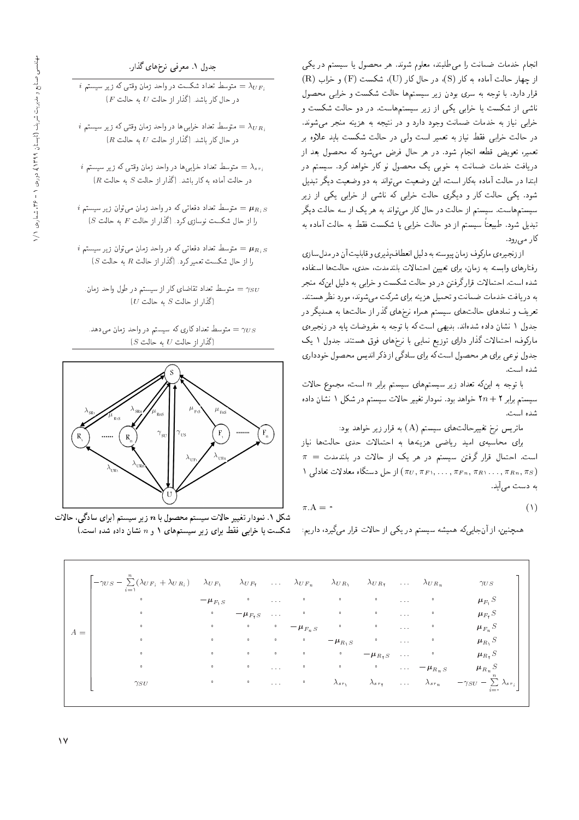انجام خدمات ضمانت را مى طلبند، معلوم شوند. هر محصول يا سيستم در يكى  $(R)$  از چهار حالت آماده به کار (S)، در حال کار (U)، شکست  $(F)$  و خراب قرار دارد. با توجه به سری بودن زیر سیستمها حالت شکست و خرابی محصول<br>ناشی از شکست یا خرابی یکی از زیر سیستمهاست. در دو حالت شکست و ناسی از سکست یا حرابی یکی از زیر سیستمهاست. در دو حالت سکست و<br>مطالعات استفاده حرابی بیاز به حدمات صمامت وجود دارد و در سیجه به هزینه منجر می سوند.<br>المساحات التحلیل است است الله علم المساحات المساحات المساحات در حالت خرابی فقط نیاز به تعمیر است ول<sub>ی</sub> در حالت شکست باید علاوه بر تعمیر، تعویض قطعه انجام شود. در هر حال فرض میشود که محصول بعد از<br>دریافت خدمات ضمانت به خوبی یک محصول نو کار خواهد کرد. سیستم در ابتدا در حالت آماده بهكار است، اين وضعيت مى تواند به دو وضعيت ديگر تبديل ابدا در حالب آماده به از است، این وضعیت می تواند به دو وضعیت دیگر تبدیل<br>.<br>. سود. یکی حالت تار و دیگری حالت حرابی له ناسی از حرابی یکی از زیر<br>مسافر است است است است است است است است که است که است ک سیستم هاست. سیستم از حالت در حال کار می تواند به هر یک از سه حالت دیگر تبدیل شود. طبیعتاً سیستم از دو حالت خرابی یا شکست فقط به حالت آماده به

کار میرود.<br>از زنجیرهی مارکوف زمان بیوسته به دلیل انعطاف بذیری و قابلیت آن در مدل سازی از زنجیرهی ماردوف زمان پیوسته به دلیل انعصاف پذیری و قابلیت آن در مدل سازی<br>استکشفی از موسیقی از موسیقی است. رفتارهای وابسته به زمان، برای تعیین احتمالات بلندمدت، حدی، حالتها استفاده<br>میروان استفاده می اینموتک استفاده شده است. احتمالات قرارگرفتن در دو حالت شکست و خرابی به دلیل اینکه منجر<br>به دریافت خدمات ضمانت و تحمیل هزینه برای شرکت می شوند، مورد نظر هستند. "OvDUyQ\_v OQwt 'OvwW|t CmQW |=Q@ xv} Ry p}tLD w Cv=t[ C=tON Ci=}QO x@ QO Qo}Oty x@ =yCr=L R= QPo |=yMQv x=Qty sDU}U |=yCr=L |=yO=tv w h} QaD جدول ۱ سدن داده سده اند. بدیهی است که با نوجه به مفروضات پایه در زنجیرهی<br>این سال الله مخزا سالست میان است است است ماردوف، احتمالات تدار دارای نوزیع نمایی با ترج های قوق هستند. جدول ۱ یک<br>مسلمان است جدول نوعي براي هر محصول است كه براي سادگي از ذكر انديس محصول خودداري شده است.

با توجه به اینکه تعداد زیر سیستمهای سیستم برابر n است، مجموع حالات سیستم برابر ۲ + ۲n خواهد بود. نمودار تغییر حالات سیستم در شکل ۱ نشان داده<br>شده است. سده است.<br>ا-

ماتریس نرخ تغییرحالتهای سیستم (A) به قرار زیر خواهد بود:<br>ا

برای محاسبهی امید ریاضی هزینهها به احتمالات حدی حالتها نیاز  $\pi = \pi$ است. احتمال قرار گرفتن سیستم در هر یک از حالات در بلندمدت از حل دستگاه معادلات تعادلی ۱ $(\pi_U, \pi_F, \ldots, \pi_F, \pi_R, \ldots, \pi_{Rn}, \pi_S)$ به دست مے,آبد.

$$
\pi.A = \circ \tag{1}
$$

همچنین، از آنجاییکه همیشه سیستم در یکی از حالات قرار میگیرد، داریم:

جدول ۱. معرفی نرخهای گذار.

 $i$  ، فقوسط تعداد شکست در واحد زمان وقتبی که زیر سیستم  $\lambda_{UF_i}$  $\mathcal{F}=\{F$  در حال کار باشد. (گذار از حالت  $U$  به حالت

- $i$  ، متوسط تعداد خرابی ها در واحد زمان وقتی که زیر سیستم  $\lambda_{UR,i}$  $(R-1R)$  در حال کار باشد. (گذار از حالت  $U$  به حالت
- $i$  ان وقتی که زیر سیستم  $\lambda_{sri}$  واحد زمان وقتی که زیر سیستم  $\lambda_{sri}$  $\mathcal{R}$  در حالت آماده به کار باشد. (گذار از حالت  $S$  به حالت
- $i$  ، متوسط تعداد دفعاتی که در واحد زمان می $\vec{u}$ ان زیر سیستم  $\bm{\mu}_{R,S}$  $(S|S| \rightarrow F|S)$ از حال شکست نوسازی کرد. (گذار از حالت  $F$  به حالت
- $i$  ، متوسط تعداد دفعاتی که در واحد زمان می $\bar{\nu}$ ول زیر سیستم  $\mu_{R,S}$  $S$  را از حال شکست تعمیر کرد. (گذار از حالت  $R$  به حالت  $S$ )
	- متوسط تعداد تقاضاي كار از سيستم در طول واحد زمان.  $\gamma_{SU}$  $(U$  أَكْذار از حالت  $S$  به حالت
	- متوسط تعداد کاری که سیستم در واحد زمان می،دهد.  $\gamma_{US}$  $(S$  أَكْذَار از حالت  $U$ به حالت)



شکل ۱. نمودار تغییر حالات سیستم محصول با n زیر سیستم (برای سادگی، حالات شکست یا خرابی فقط برای زیر سیستمهای ۱ و n نشان داده شده است.)

| $-\gamma_{US}-\sum_{i=1}^{N}(\lambda_{UF_i}+\lambda_{UR_i})$ $\lambda_{UF_1}$ $\lambda_{UF_1}$ |              |              | $\sim 100$                     | $\lambda_{UF_n}$ | $\lambda_{UR_1}$ | $\lambda_{UR}$ | $\mathcal{L}(\mathcal{L}(\mathcal{A}))$ | $\lambda_{UR_n}$      | $\gamma_{US}$                                   |
|------------------------------------------------------------------------------------------------|--------------|--------------|--------------------------------|------------------|------------------|----------------|-----------------------------------------|-----------------------|-------------------------------------------------|
| $\bullet$                                                                                      | $-\mu_{F,S}$ | $\circ$      | $\alpha$ , $\alpha$ , $\alpha$ | $\circ$          | $\circ$          | $\circ$        | $\alpha$ , $\alpha$ , $\alpha$          | $\circ$               | $\mu_{F_1} S$                                   |
| $\circ$                                                                                        | $\circ$      | $-\mu_{F,S}$ | $\sim 100$                     | $\bullet$        | $\circ$          | $\circ$        | $\alpha$ , $\alpha$ , $\alpha$          | $\circ$               | $\mu_{F_Y}S$                                    |
| $\bullet$<br>$A =$                                                                             | $\bullet$    | $\bullet$    | $\bullet$                      | $-\mu_{F_nS}$    | $\circ$          | $\circ$        | $\alpha$ , $\alpha$ , $\alpha$          | $\bullet$             | $\mu_{F_n} S$                                   |
| $\circ$                                                                                        | $\circ$      | $\circ$      | $\bullet$                      | $\circ$          | $-\mu_{R,S}$     | $\circ$        | $\alpha \rightarrow \alpha \beta$       | $\circ$               | $\mu_{R_1} S$                                   |
| $\circ$                                                                                        | $\bullet$    | $\circ$      | $\circ$                        | $\bullet$        | $\bullet$        | $-\mu_{R_1S}$  | $\alpha$ , $\alpha$ , $\alpha$          | $\circ$               | $\mu_{R,\,S}$                                   |
| $\circ$                                                                                        | $\circ$      | $\circ$      | $\alpha$ , $\alpha$ , $\alpha$ | $\circ$          | $\circ$          | $\bullet$      | $\alpha \rightarrow -\alpha$            | $-\mu_{R_nS}$         | $\mu_{R_n} S$                                   |
| $\gamma_{S}$ U                                                                                 | $\bullet$    | $\bullet$    | $\alpha$ , $\alpha$            | $\bullet$        | $\lambda_{sr}$   | $\lambda_{sr}$ | $\alpha$ , $\alpha$ , $\alpha$          | $\lambda$ $_{s\,r_n}$ | $-\gamma_{SU} - \sum_{i=-s}^{n} \lambda_{sr_i}$ |
|                                                                                                |              |              |                                |                  |                  |                |                                         |                       |                                                 |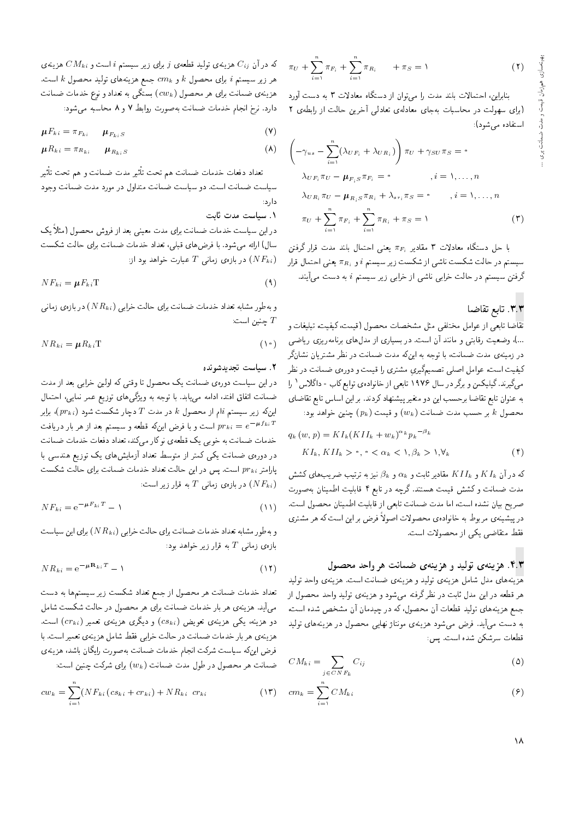$$
\pi_U + \sum_{i=1}^n \pi_{F_i} + \sum_{i=1}^n \pi_{R_i} + \pi_S = 1 \tag{1}
$$

بنابراین، احتمالات بلند مدت را می توان از دستگاه معادلات ۳ به دست آورد (برای سهولت در محاسبات بهجای معادلهی تعادلی آخرین حالت از رابطهی ۲ استفاده می شود):

$$
\left(-\gamma_{us} - \sum_{i=1}^{n} (\lambda_{UF_i} + \lambda_{UR_i})\right) \pi_U + \gamma_{SU} \pi_S = \circ
$$
  
\n
$$
\lambda_{UF_i} \pi_U - \mu_{F_iS} \pi_{F_i} = \circ \qquad , i = 1, ..., n
$$
  
\n
$$
\lambda_{UR_i} \pi_U - \mu_{R_iS} \pi_{R_i} + \lambda_{sr_i} \pi_S = \circ \qquad , i = 1, ..., n
$$
  
\n
$$
\pi_U + \sum_{i=1}^{n} \pi_{F_i} + \sum_{i=1}^{n} \pi_{R_i} + \pi_S = 1
$$
 (7)

با حل دستگاه معادلات ۳ مقادیر  $\pi_{F_i}$  یعنی احتمال بلند مدت قرار گرفتن سیستم در حالت شکست ناشی از شکست زیر سیستم  $i$  و  $\pi_{R_i}$  یعنی احتمال قرار گرفتن سیستم در حالت خرابی ناشی از خرابی زیر سیستم i به دست می]یند.

### ۳.۳. تابع تقاضا

تقاضا تابعي از عوامل مختلفي مثل مشخصات محصول (قيمت، كيفيت، تبليغات و ...)، وضعیت رقابتی و مانند آن است. در بسیاری از مدلهای برنامهریزی ریاضی در زمینهی مدت ضمانت، با توجه به اینکه مدت ضمانت در نظر مشتریان نشانگر کیفیت است، عوامل اصلی تصمیمگیری مشتری را قیمت و دورهی ضمانت در نظر مهیگیرند. گیلیکمن و برگر در سال ۱۹۷۶ تابعی از خانوادهی توابع کاب - داگلاس ۱ را به عنوان تابع تقاضا برحسب این دو متغیر پیشنهاد کردند. بر این اساس تابع تقاضای محصول k بر حسب مدت ضمانت  $(w_k)$  و قیمت  $(p_k)$  چنین خواهد بود:

$$
q_k(w, p) = K I_k (K II_k + w_k)^{\alpha_k} p_k^{-\beta_k}
$$
  

$$
K I_k, K II_k > \gamma, \gamma < \alpha_k < \gamma, \beta_k > \gamma, \forall_k
$$
 (†)

که در آن  $KI_{k}$  و  $KI_{l}$  مقادیر ثابت و  $\alpha_{k}$  و  $\beta_{k}$  نیز به ترتیب ضریب های کشش مدت ضمانت وكشش قيمت هستند. گرچه در تابع ۴ قابليت اطمينان بهصورت صريح بيان نشده است، اما مدت ضمانت تابعي از قابليت اطمينان محصول است. در پیشینهی مربوط به خانوادهی محصولات اصولاً فرض بر این است که هر مشتری فقط متقاضى يكى از محصولات است.

#### ۴.۳. هزینهی تولید و هزینهی ضمانت هر واحد محصول

هزینههای مدل شامل هزینهی تولید و هزینهی ضمانت است. هزینهی واحد تولید هر قطعه در این مدل ثابت در نظرگرفته میشود و هزینهی تولید واحد محصول از جمع هزینههای تولید قطعات آن محصول، که در چیدمان آن مشخص شده است، به دست میآید. فرض میشود هزینهی مونتاژ نهایی محصول در هزینههای تولید قطعات سرشکن شده است. پس:

$$
CM_{ki} = \sum_{j \in CNF_k} C_{ij} \tag{0}
$$

$$
cm_k = \sum_{i=1}^{n} CM_{ki} \tag{8}
$$

که در آن  $C_{ij}$  هزینهی تولید قطعهی j برای زیر سیستم i است و  $CM_{ki}$  هزینهی هر زير سيستم  $i$  براى محصول  $k$  و  $cm_k$  جمع هزينههاى توليد محصول  $k$  است. هزینهی ضمانت برای هر محصول ( $cw_k$ ) بستگی به تعداد و نوع خدمات ضمانت دارد. نرخ انجام خدمات ضمانت بهصورت روابط ٧ و ٨ محاسبه مىشود:

$$
\mu F_{ki} = \pi_{F_{ki}} \qquad \mu_{F_{ki}S} \tag{V}
$$

$$
\mu R_{ki} = \pi_{R_{ki}} \qquad \mu_{R_{ki}S} \tag{A}
$$

تعداد دفعات خدمات ضمانت هم تحت تأثير مدت ضمانت و هم تحت تأثير سیاست ضمانت است. دو سیاست ضمانت متداول در مورد مدت ضمانت وجود دارد:

### ٠١. سياست مدت ثابت

در این سیاست خدمات ضمانت برای مدت معینی بعد از فروش محصول (مثلاً یک سال) ارائه میشود. با فرضهای قبلی، تعداد خدمات ضمانت برای حالت شکست در بازهى زمانى  $T$  عبارت خواهد بود از:  $(NF_{ki})$ 

$$
N F_{ki} = \mu F_{ki} T
$$
 (1)

و بهطور مشابه تعداد خدمات ضمانت برای حالت خرابی ( $NR_{ki}$ ) در بازهی زمانبی جنين است:  $T$ 

$$
V R_{ki} = \mu R_{ki} T
$$
 (1)

### ٢. سياست تجديدشونده

در این سیاست دورهی ضمانت یک محصول تا وقتی که اولین خرابی بعد از مدت ضمانت اتفاق افتد، ادامه مىيابد. با توجه به ويژگى هاى توزيع عمر نمايى، احتمال اینکه زیر سیستم  $i$ ام از محصول  $k$  در مدت  $T$  دچار شکست شود  $\left(pr_{ki}\right)$ ، برابر است و با فرض اینکه قطعه و سیستم بعد از هر بار دریافت  $pr_{ki} = e^{-\boldsymbol{\mu} f_{ki} T}$ خدمات ضمانت به خوبی یک قطعهی نوکار میکند، تعداد دفعات خدمات ضمانت در دورهى ضمانت يكى كمتر از متوسط تعداد آزمايش هاى يك توزيع هندسى با پارامتر  $pr_{ki}$  است. پس در این حالت تعداد خدمات ضمانت برای حالت شکست در بازه $T$  زمانی  $T$  به قرار زیر است:  $(NF_{ki})$ 

$$
N F_{ki} = e^{-\mu F_{ki}T} - 1 \tag{1}
$$

و بهطور مشابه تعداد خدمات ضمانت براي حالت خرابي ( $N R_{ki}$ ) براي اين سياست بازەى زمانى $T$  بە قرار زىر خواھد بود:

$$
N R_{ki} = e^{-\mu \mathbf{R}_{ki}T} - 1
$$
\n(11)

تعداد خدمات ضمانت هر محصول از جمع تعداد شکست زیر سیستمها به دست میآید. هزینهی هر بار خدمات ضمانت برای هر محصول در حالت شکست شامل دو هزینه، یکمی هزینهی تعویض (cs $_{ki})$  و دیگری هزینهی تعمیر (cr $_{ki})$  است. هزینهی هر بار خدمات ضمانت در حالت خرابی فقط شامل هزینهی تعمیر است. با فرض اینکه سیاست شرکت انجام خدمات ضمانت بهصورت رایگان باشد، هزینهی ضمانت هر محصول در طول مدت ضمانت ( $w_k$ ) برای شرکت چنین است:

$$
cw_k = \sum_{i=1}^{n} (N F_{ki} (cs_{ki} + cr_{ki}) + N R_{ki} cr_{ki}
$$
 (17)

١٨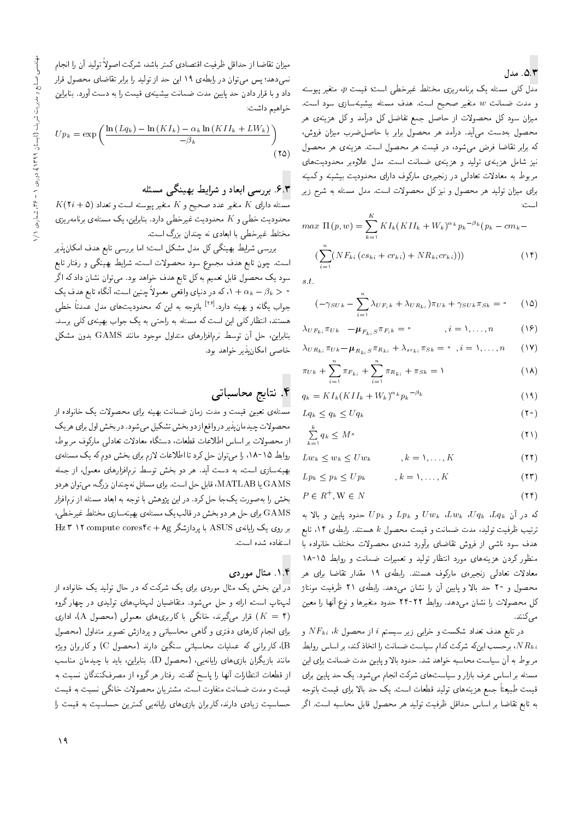# ۵.۳. مدل

مدل کلی مسئله یک برنامهریزی مختلط غیرخطی است؛ قیمت  $p$ ، متغیر پیوسته و مدت ضمانت w متغیر صحیح است. هدف مسئله بیشینهسازی سود است. میزان سود کل محصولات از حاصل جمع تفاضل کل درآمد و کل هزینهی هر محصول به دست می آید. درآمد هر محصول برابر با حاصل ضرب میزان فروش، كه برابر تقاضا فرض مى شود، در قيمت هر محصول است. هزينهى هر محصول نیز شامل هزینهی تولید و هزینهی ضمانت است. مدل علاوهبر محدودیتهای مربوط به معادلات تعادلی در زنجیرهی مارکوف دارای محدودیت بیشینه و کمینه برای میزان تولید هر محصول و نیز کل محصولات است. مدل مسئله به شرح زیر

$$
max \Pi(p, w) = \sum_{k=1}^{K} K I_k (K II_k + W_k)^{\alpha_k} p_k^{-\beta_k} (p_k - cm_k - (\sum_{i=1}^{n} (N F_{ki} (c s_{ki} + c r_{ki}) + N R_{ki} c r_{ki})))
$$
\n
$$
(1^{\epsilon})
$$

 $s.t.$ 

$$
(-\gamma_{SUE} - \sum_{i=1}^{n} \lambda_{UF_i k} + \lambda_{UR_{ki}})\pi_{Uk} + \gamma_{SUE}\pi_{Sk} = \cdot \qquad (12)
$$

$$
\lambda_{UF_{ki}} \pi_{Uk} \quad -\boldsymbol{\mu}_{F_{ki} S} \pi_{F_i k} = \circ \qquad , i = 1, \ldots, n \qquad (18)
$$

$$
\lambda_{UR_{ki}} \pi_{Uk} - \mu_{R_{ki}S} \pi_{R_{ki}} + \lambda_{sr_{ki}} \pi_{Sk} = \bullet \quad, i = 1, \dots, n \tag{19}
$$

$$
\pi_{Uk} + \sum_{i=1}^{n} \pi_{F_{ki}} + \sum_{i=1}^{n} \pi_{R_{ki}} + \pi_{Sk} = 1
$$
 (1A)

$$
q_k = K I_k (K II_k + W_k)^{\alpha_k} p_k^{-\beta_k} \tag{14}
$$

$$
Lq_k \le q_k \le Uq_k \tag{1}
$$

$$
\sum_{k=1}^{K} q_k \le M \circ \tag{11}
$$

$$
Lw_k \le w_k \le Uw_k \qquad , k = \lambda, \dots, K \qquad (\text{YY})
$$

$$
L p_k \leq p_k \leq U p_k \qquad , k = 1, \dots, K \qquad (\text{17})
$$

$$
P \in R^+, \mathbf{W} \in N \tag{17}
$$

که در آن  $Uq_k$ ،  $Uq_k$ ،  $Uw_k$ ،  $Uw_k$  و  $Lp_k$  و  $Up_k$  حدود پایین و بالا به ترتيب ظرفيت توليد، مدت ضمانت و قيمت محصول k هستند. رابطه $\epsilon$  ١۴، تابع هدف سود ناشی از فروش تقاضای برآورد شدهی محصولات مختلف خانواده با منظور کردن هزینههای مورد انتظار تولید و تعمیرات ضمانت و روابط ۱۵-۱۸ معادلات تعادلی زنجیرهی مارکوف هستند. رابطهی ۱۹ مقدار تقاضا برای هر محصول و ۲۰ حد بالا و پایین آن را نشان می،دهد. رابطهی ۲۱ ظرفیت مونتاژ کل محصولات را نشان میردهد. روابط ۲۲-۲۴ حدود متغیرها و نوع آنها را معین مى كنند.

 $\overline{N}F_{ki}$  در تابع هدف تعداد شکست و خرابی زیر سیستم  $i$  از محصول  $\overline{N}F_{ki}$  و ، برحسب اینکه شرکت کدام سیاست ضمانت را اتخاذ کند، بر اساس روابط،  $NR_{ki}$ مربوط به آن سیاست محاسبه خواهد شد. حدود بالا و پایین مدت ضمانت برای این مسئله بر اساس عرف بازار و سیاستهای شرکت انجام میشود. یک حد پایین برای قيمت طبيعتاً جمع هزينههاى توليد قطعات است. يک حد بالا براى قيمت باتوجه به تابع تقاضا بر اساس حداقل ظرفیت تولید هر محصول قابل محاسبه است. اگر

ميزان تقاضا از حداقل ظرفيت اقتصادى كمتر باشد، شركت اصولاً توليد آن را انجام نمی،دهد؛ پس می;توان در رابطه ی ۱۹ این حد از تولید را برابر تقاضای محصول قرار داد و با قرار دادن حد پایین مدت ضمانت بیشینهی قیمت را به دست آورد. بنابراین خواهيم داشت:

$$
Up_k = \exp\left(\frac{\ln(Lq_k) - \ln(KI_k) - \alpha_k \ln(KII_k + LW_k)}{-\beta_k}\right)
$$
\n(12)

### ۶.۳. بررسی ابعاد و شرایط بهینگی مسئله

 $K(\texttt{Y}i + \texttt{0})$  مسئله دارای  $K$  متغیر و دینم متغیر پیوسته است و تعداد محدودیت خطی و K محدودیت غیرخطی دارد. بنابراین، یک مسئلهی برنامهریزی مختلط غیرخطی با ابعادی نه چندان بزرگ است.

بررسی شرایط بهینگی کل مدل مشکل است؛ اما بررسی تابع هدف امکان پذیر است. چون تابع هدف مجموع سود محصولات است، شرایط بهینگی و رفتار تابع سود یک محصول قابل تعمیم به کل تابع هدف خواهد بود. میتوان نشان داد که اگر محموار میک در دنیای واقعی معمولاً چنین است، آنگاه تابع هدف یک $\lambda + \alpha_k - \beta_k > 0$ جواب یگانه و بهینه دارد.<sup>[۲۶]</sup> باتوجه به این که محدودیتهای مدل عمدتاً خطی هستند، انتظارکلی این است که مسئله به راحتی به یک جواب بهینهی کلی برسد. بنابراین، حل آن توسط نرم|فزارهای متداول موجود مانند GAMS بدون مشکل خاصي امكان پذير خواهد بود.

# ۴. نتایج محاسباتی

مسئلهی تعیین قیمت و مدت زمان ضمانت بهینه برای محصولات یک خانواده از محصولات چیدمان پذیر درواقع از دو بخش تشکیل میشود. در بخش اول برای هر یک از محصولات بر اساس اطلاعات قطعات، دستگاه معادلات تعادلبي ماركوف مربوط، روابط ١٥-١٨، را مي توان حل كرد تا اطلاعات لازم براي بخش دوم كه يك مسئلهي بهینهسازی است، به دست آید. هر دو بخش توسط نرمافزارهای معمول، از جمله GAMS يا MATLAB، قابل حل است. براي مسائل نهچندان بزرگ، مي توان هردو بخش را به صورت یک جا حل کرد. در این پژوهش با توجه به ابعاد مسئله از نرم|فزار GAMS براي حل هر دو بخش در قالب يک مسئلهي بهينهسازي مختلط غيرخطي، بر روی یک رایانهی ASUS با پردازشگر Hz ۳ ۱۲ compute cores fc + Ag استفاده شده است.

### ۱.۴. مثال موردی

در این بخش یک مثال موردی برای یک شرکت که در حال تولید یک خانواده از لب تاپ است، ارائه و حل می شود. متقاضیان لب تاپ های تولیدی در جهار گروه قرار میگیرند، خانگی با کاربریهای معمولی (محصول A)، اداری (A برای انجام کارهای دفتری و گاهی محاسباتی و پردازش تصویر متداول (محصول B)، کاربرانی که عملیات محاسباتی سنگین دارند (محصول C) و کاربران ویژه مانند بازیگران بازی های رایانهیی، (محصول D). بنابراین، باید با چیدمان مناسب از قطعات انتظارات أنها را پاسخ گفت. رفتار هرگروه از مصرفکنندگان نسبت به قیمت و مدت ضمانت متفاوت است. مشتریان محصولات خانگی نسبت به قیمت حساسیت زیادی دارند، کاربران بازی های رایانهیی کمترین حساسیت به قیمت را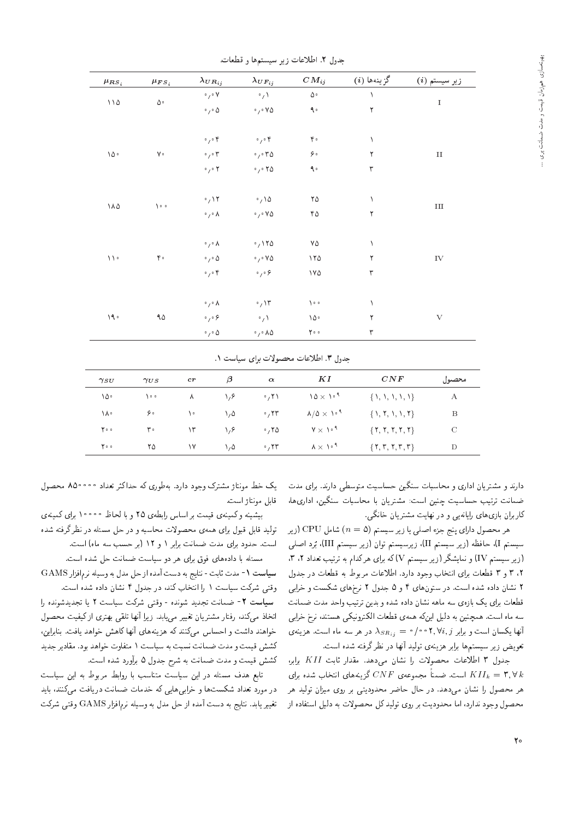| $\mu_{RS_i}$                              | $\mu_{FS_i}$          | $\lambda_{UR_{ij}}$                 | $\lambda_{UF_{ij}}$                  | $CM_{ij}$                       | گزينهها (i)          | زير سيستم (i) |
|-------------------------------------------|-----------------------|-------------------------------------|--------------------------------------|---------------------------------|----------------------|---------------|
| $\backslash\backslash\mathnormal{\Delta}$ |                       | $\circ$ $\gamma \circ \mathsf{V}$   | $\cdot / \sqrt{ }$                   | $\Delta \, \circ$               | $\lambda$            |               |
|                                           | $\Delta \, \circ$     | $\cdot$ , $\cdot$ $\Delta$          | $\cdot$ , $\cdot$ Y $\Delta$         | $\uparrow$ .                    | $\mathbf{\breve{L}}$ | $\rm I$       |
|                                           |                       | $\circ$ $\prime$ $\circ$ $\circ$    | $\circ$ , $\circ$ $\mathfrak k$      | $\mathfrak{r} \, \circ$         | $\lambda$            |               |
| ١۵٠                                       | $\mathsf{V} \circ$    | $\circ$ $\prime$ $\circ$ $\tau$     | .7.70                                | ۶۰                              | ٢                    | $\rm II$      |
|                                           |                       | $\circ$ $\prime$ $\circ$ $\prime$   | $\cdot$ , $\cdot$ $\cdot$ $\circ$    | $\uparrow$ .                    | $\mathbf{\breve{r}}$ |               |
| ۱۸۵                                       | $\lambda \cdot \cdot$ | $\cdot$ / $\prime$                  | $\cdot$ , \ $\Delta$                 | $\mathbf{Y} \, \Delta$          | ١                    | $\rm III$     |
|                                           |                       | $\circ$ $\gamma \circ \Lambda$      | $\cdot$ , $\cdot$ Y $\Delta$         | ۴۵                              | $\mathbf Y$          |               |
|                                           |                       | $\circ$ $_{f} \circ$ $\Lambda$      | .7170                                | ۷۵                              | ١                    |               |
| $\backslash\backslash\circ$               | $\mathfrak{r}$ .      | $\cdot$ , $\cdot$ $\Delta$          | $\cdot$ , $\cdot$ Y $\Delta$         | 110                             | ٢                    | ${\rm IV}$    |
|                                           |                       | $\circ$ $\gamma \circ \mathfrak{f}$ | $\circ$ $_1 \circ$ $\varphi$         | $\vee \vee \triangle$           | $\mathbf{\breve{r}}$ |               |
|                                           |                       | $\circ$ / $\circ$ //                | $\cdot$ , ۱۳                         | $\sum_{i=1}^{n} a_i$            | ١                    |               |
| $\backslash\,\P$ .                        | $\uparrow \uparrow$   | $\circ$ $\gamma \circ \varphi$      | $\cdot / \sqrt{ }$                   | $\backslash\, \Diamond$ $\circ$ | ٢                    | $\rm{V}$      |
|                                           |                       | $\circ$ $\prime$ $\circ$ $\Delta$   | $\cdot$ , $\cdot$ $\wedge \triangle$ | $\mathbf{Y} \circ \circ$        | ٣                    |               |

حدول ٢. اطلاعات زير سيستمها و قطعات.

حدول ٣. اطلاعات محصولات براي سياست ١.

| $\gamma_{SU}$ | $\gamma_{US}$ | $_{cr}$ | $\beta$          | $\alpha$             | ΚI                                    | CNF                 | محصول         |
|---------------|---------------|---------|------------------|----------------------|---------------------------------------|---------------------|---------------|
| ١۵۰           | ه ۱۰          | ۸       | ۱٬۶              | $\cdot$ , ۲ \        | $10 \times 10^{-4}$                   | $\{1, 1, 1, 1, 1\}$ | А             |
| ١٨٠           | ه ۶           | ه ۱     | $\lambda/\Delta$ | $\cdot$ , $\tau\tau$ | $\lambda/\Delta \times 10^{-4}$       | $\{1, 7, 1, 1, 1\}$ | B             |
| ه ۲۰          | ۳۰            | ۱۳      | ۱٬۶              | .70                  | $V \times V^{\dagger}$                | $\{Y, Y, Y, Y, Y\}$ | $\mathcal{C}$ |
| ه ۲۰          | ۲۵            | ۱۷      | ۰٫۵              | $\cdot$ , ۲۳         | $\lambda \times \lambda$ <sup>1</sup> | $\{Y, Y, Y, Y, Y\}$ | D             |

دارند و مشتریان اداری و محاسبات سنگین حساسیت متوسطی دارند. برای مدت .<br>ضمانت ترتیب حساسیت چنین است: مشتریان با محاسبات سنگین، اداری ها، کاربران بازی های رایانهیی و در نهایت مشتریان خانگی.

هر محصول دارای پنج جزء اصلبی یا زیر سیستم (a = 0) شامل CPU (زیر سیستم I)، حافظه (زیر سیستم II)، زیرسیستم توان (زیر سیستم III)، بُرد اصلبی (زیر سیستم IV) و نمایشگر (زیر سیستم V)که برای هرکدام به ترتیب تعداد ۲، ۳، ٢، ٣ و ٣ قطعات براى انتخاب وجود دارد. اطلاعات مربوط به قطعات در جدول ۲ نشان داده شده است. در ستونهای ۴ و ۵ جدول ۲ نرخهای شکست و خرابی قطعات برای یک بازهی سه ماهه نشان داده شده و بدین ترتیب واحد مدت ضمانت سه ماه است. همچنین به دلیل اینکه همهی قطعات الکترونیکی هستند، نرخ خرابی أنها یکسان است و برابر ۲٬ ۲٬ ۲٬ ۰ م $\lambda_{S R_{ij}} = \lambda_{S R_{ij}} = 0$  در هر سه ماه است. هزینهی تعويض زير سيستم ها برابر هزينه، توليد أنها در نظرگرفته شده است.

جدول ٣ اطلاعات محصولات را نشان مى دهد. مقدار ثابت KII برابر، است. ضمناً مجموعه $\mathop{CNF}\limits$  گزینههای انتخاب شده برای M $\mathop{KII}_k=\mathop{\mathsf{r}},\forall\,k$ هر محصول را نشان می،دهد. در حال حاضر محدودیتبی بر روی میزان تولید هر محصول وجود ندارد، اما محدودیت بر روی تولید کل محصولات به دلیل استفاده از

یک خط مونتاژ مشترک وجود دارد. بهطوری که حداکثر تعداد ۵۰۰٬۵۰۰ محصول قامل مونتاژ است.

بیشینه وکمینهی قیمت بر اساس رابطهی ۲۵ و با لحاظ ۱۰۰۰۰ برای کمینهی تولید قابل قبول برای همهی محصولات محاسبه و در حل مسئله در نظرگرفته شده است. حدود برای مدت ضمانت برابر ١ و ١٢ (بر حسب سه ماه) است.

مسئله با دادههای فوق برای هر دو سیاست ضمانت حل شده است. سياست ١- مدت ثابت - نتايج به دست آمده از حل مدل به وسيله نرمافزار GAMS وقتی شرکت سیاست ١ را انتخاب کند، در جدول ۴ نشان داده شده است. سياست ٢- ضمانت تجديد شونده - وقتى شركت سياست ٢ يا تجديدشونده را اتخاذ میکند. رفتار مشتریان تغییر می،یابد. زیرا أنها تلقی بهتری ازکیفیت محصول خواهند داشت و احساس مىكنند كه هزينههاى أنها كاهش خواهد يافت. بنابراين، کشش قیمت و مدت ضمانت نسبت به سیاست ۱ متفاوت خواهد بود. مقادیر جدید كشش قيمت و مدت ضمانت به شرح جدول ۵ برأورد شده است.

تابع هدف مسئله در این سیاست متناسب با روابط مربوط به این سیاست در مورد تعداد شکستها و خرابیهایی که خدمات ضمانت دریافت میکنند، باید تغییر یابد. نتایج به دست آمده از حل مدل به وسیله نرم|فزار GAMS وقتبی شرکت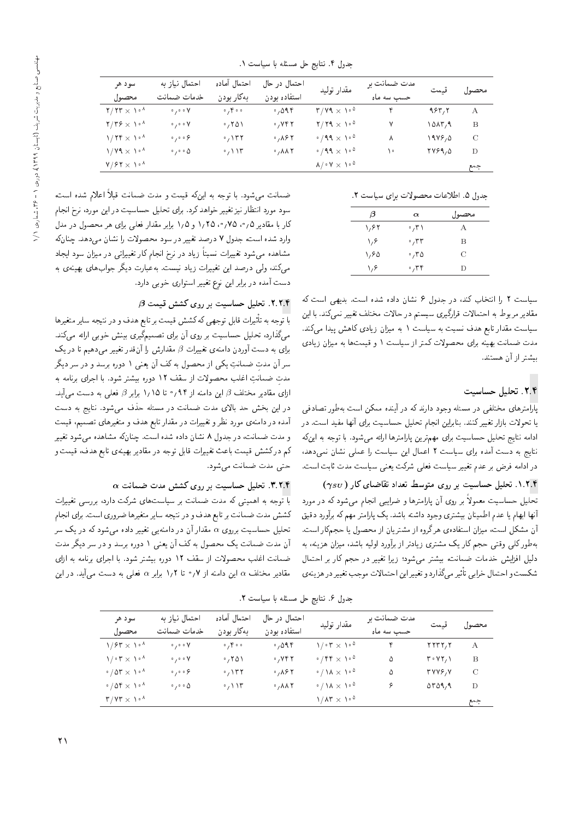| سو د هر                                                                    | احتمال نياز به                          | احتمال أماده                                | احتمال در حال                 |                                                       | مدت ضمانت بر |        | محصول قيمت    |
|----------------------------------------------------------------------------|-----------------------------------------|---------------------------------------------|-------------------------------|-------------------------------------------------------|--------------|--------|---------------|
| محصدول                                                                     | خدمات ضمانت                             | بەكار بودن                                  | استفاده بودن                  | مقدار توليد                                           | حسب سه ماه   |        |               |
| $Y/7T \times 10^{-4}$                                                      | $\circ$ $\prime$ $\circ$ $\circ$ $\vee$ | $\cdot$ , $\uparrow \cdot \cdot$            | 0,095                         | $T/V9 \times V^{0}$                                   | ۴            | 983,8  | $\mathbf{A}$  |
| $\mathbf{Y}/\mathbf{Y}\hat{\mathbf{Y}} \times \mathbf{Y} \cdot \mathbf{Y}$ | $\circ$ , $\circ$ o $V$                 | $\cdot$ , ۲۵۱                               | .745                          | $7/79 \times 10^{0}$                                  | ۷            | 10AT,9 | В             |
| $1/7f \times 10^4$                                                         | $\circ$ , $\circ$ , $\circ$             | $\cdot$ , $\setminus$ $\uparrow$ $\uparrow$ | $\cdot$ , $\wedge$ ۶۲         | $\cdot$ /99 $\times$ 1.00                             | ٨            | 1999,0 | $\mathcal{C}$ |
| $1/Y$ $\times 1.4$                                                         | $\cdot$ / $\cdot$ 0                     | $\cdot$ / $\vee$                            | $0, \lambda \lambda \Upsilon$ | $\cdot$ /99 $\times$ 1.00                             | ه ۱          | 1799,0 | D             |
| $V/FY \times V^{\Lambda}$                                                  |                                         |                                             |                               | $\lambda/\cdot$ Y $\times$ $\lambda \cdot$ $^{\circ}$ |              |        | جمع           |

جدول ۴. نتايج حل مسئله با سياست ١.

جدول ۵. اطلاعات محصولات برای سیاست ٢.

| β    | $\alpha$     | محصول |
|------|--------------|-------|
| ۱٬۶۲ | ۰٫۳۱         | А     |
| ۱٬۶  | $\cdot$ , ۳۳ | В     |
| ۱٬۶۵ | .70          | C     |
| ۱٬۶  | ۲۴، ه        | Ð     |

سیاست ۲ را انتخاب کند، در جدول ۶ نشان داده شده است. بدیهی است که مقادیر مربوط به احتمالات قرارگیری سیستم در حالات مختلف تغییر نمی کند. با این سیاست مقدار تابع هدف نسبت به سیاست ۱ به میزان زیادی کاهش پیدا میکند. مدت ضمانت بهینه برای محصولات کمتر از سیاست ۱ و قیمتها به میزان زیادی سشتر از آن هستند.

# ٢.٢. تحليل حساسيت

یارآمترهای مختلفی در مسئله وجود دارند که در آینده ممکن است بهطور تصادفی یا تحولات بازار تغییرکنند. بنابراین انجام تحلیل حساسیت برای آنها مفید است. در ادامه نتایج تحلیل حساسیت برای مهمترین پارامترها ارائه میشود. با توجه به اینکه نتایج به دست آمده برای سیاست ۲ اعمال این سیاست را عملی نشان نمیدهد. در ادامه فرض بر عدم تغییر سیاست فعلمی شرکت یعنی سیاست مدت ثابت است.

۰۱.۲.۴ تحلیل حساسیت بر روی متوسط تعداد تقاضای کار (  $\gamma_{SU}$ ) تحلیل حساسیت معمولاً بر روی آن پارامترها و ضرایبی انجام می شود که در مورد أنها ابهام یا عدم اطمینان بیشتری وجود داشته باشد. یک پارامتر مهم که برآورد دقیق آن مشکل است، میزان استفادهی هرگروه از مشتریان از محصول یا حجمکار است. بهطورکلبی وقتبی حجم کار یک مشتری زیادتر از برآورد اولیه باشد، میزان هزینه، به دلیل افزایش خدمات ضمانت، بیشتر میشود؛ زیرا تغییر در حجم کار بر احتمال شكست واحتمال خرابى تأثيرمى كذارد و تغييراين احتمالات موجب تغيير در هزينهي

ضمانت می شود. با توجه به اینکه قیمت و مدت ضمانت قبلاً اعلام شده است، سود مورد انتظار نیز تغییر خواهد کرد. برای تحلیل حساسیت در این مورد، نرخ انجام کار با مقادیر ۰٫۵۵ / ۰٫۷۵ و ۱٫۵ برابر مقدار فعلی برای هر محصول در مدل وارد شده است، جدول ۷ درصد تغییر در سود محصولات را نشان میدهد. چنانکه مشاهده می شود تغییرات نسبتاً زیاد در نرخ انجام کار تغییراتی در میزان سود ایجاد میکند، ولی درصد این تغییرات زیاد نیست. بهعبارت دیگر جوابهای بهینهی به دست آمده در برابر این نوع تغییر استواری خوبی دارد.

# . ۲.۲.۴ تحلیل حساسیت بر روی کشش قیمت  $\beta$

با توجه به تأثيرات قابل توجهي كه كشش قيمت بر تابع هدف و در نتيجه ساير متغيرها میگذارد، تحلیل حساسیت بر روی آن برای تصمیمگیری بینش خوبی ارائه میکند.  $\beta$  برای به دست آوردن دامنهی تغییرات  $\beta$  مقدارش را آنقدر تغییر میدهیم تا در یک سر آن مدت ضمانتِ یکی از محصول به کف آن یعنی ۱ دوره برسد و در سر دیگر مدت ضمانتِ اغلب محصولات از سقف ١٢ دوره بیشتر شود. با اجرای برنامه به ازای مقادیر مختلف  $\beta$  این دامنه از ۹۴٫ تا ۱٫۱۵ برابر  $\beta$  فعلی به دست میآید. در این بخش حد بالای مدت ضمانت در مسئله حذف میشود. نتایج به دست آمده در دامنهی مورد نظر و تغییرات در مقدار تابع هدف و متغیرهای تصمیم، قیمت و مدت ضمانت، در جدول ٨ نشان داده شده است. چنانکه مشاهده میشود تغییر کم درکشش قیمت باعث تغییرات قابل توجه در مقادیر بهینهی تابع هدف، قیمت و حتى مدت ضمانت مىشود.

### $\alpha$  تحلیل حساسیت بر روی کشش مدت ضمانت  $\alpha$ . ۳. ۲. ۴

با توجه به اهمیتی که مدت ضمانت بر سیاستهای شرکت دارد، بررسی تغییرات كشش مدت ضمانت بر تابع هدف و در نتيجه ساير متغيرها ضروري است. براي انجام تحلیل حساسیت برروی a مقدار آن در دامنه یی تغییر داده میشود که در یک سر آن مدت ضمانت یک محصول به کف آن یعنی ۱ دوره برسد و در سر دیگر مدت ضمانت اغلب محصولات از سقف ١٢ دوره بيشتر شود. با اجراى برنامه به ازاى مقادیر مختلف  $\alpha$  این دامنه از ۰٫۷ تا ۱٫۲ برابر  $\alpha$  فعلمی به دست میآید. در این

جدول ۶. نتايج حل مسئله با سياست ٢.

| سو د هر                                                            | احتمال نباز به                            | احتمال آماده                     | احتمال در حال                          | مقدار توليد                                         | مدت ضمانت ہر |                                                       | محصول قيمت |
|--------------------------------------------------------------------|-------------------------------------------|----------------------------------|----------------------------------------|-----------------------------------------------------|--------------|-------------------------------------------------------|------------|
| محصول                                                              | خدمات ضمانت                               | بەكار بودن                       | استفاده بودن                           |                                                     | حسب سه ماه   |                                                       |            |
| $1/84 \times 10^{-4}$                                              | $\circ$ , $\circ$ o $V$                   | $\circ$ , $\uparrow \circ \circ$ | 0,095                                  | $1/\cdot 7 \times 1/\cdot 1$                        | $\mathbf{r}$ | YYYY, Y                                               | $\bf{A}$   |
| $\mathcal{N} \cdot \mathbf{r} \times \mathcal{N} \cdot \mathbf{r}$ | $\circ$ $\gamma$ $\circ$ $\circ$ $\gamma$ | .701                             | $\cdot$ , $\vee$ $\uparrow$ $\uparrow$ | $\cdot$ /۴۴ $\times$ 1.0                            | ۵            | $\mathsf{r}\cdot\mathsf{v}\mathsf{r}\wedge\mathsf{v}$ | B          |
| $\cdot$ / or $\times$ 1. $\cdot$                                   | $\circ$ $\gamma$ $\circ$ $\circ$ $\circ$  | $\alpha$ / ۱۳۲                   | $\circ$ , $\wedge$ $\circ$ $\wedge$    | $\cdot / \lambda \times \lambda \cdot$ <sup>0</sup> | ۵            | <b>٣٧٧۶,٧</b>                                         | C          |
| $\cdot$ / 04 $\times$ 1. $\cdot$                                   | $\circ$ , $\circ$ $\circ$ $\Delta$        | $\cdot$ / $\prime$ $\prime$      | $\cdot$ , $\wedge \wedge \wedge$       | $\cdot / \lambda \times \lambda \cdot$ <sup>0</sup> | ۶.           | $\Delta r \Delta 97$                                  | Ð          |
| $T/VT \times V_0$ <sup>A</sup>                                     |                                           |                                  |                                        | $1/\Lambda r \times 10^{2}$                         |              |                                                       | جمع        |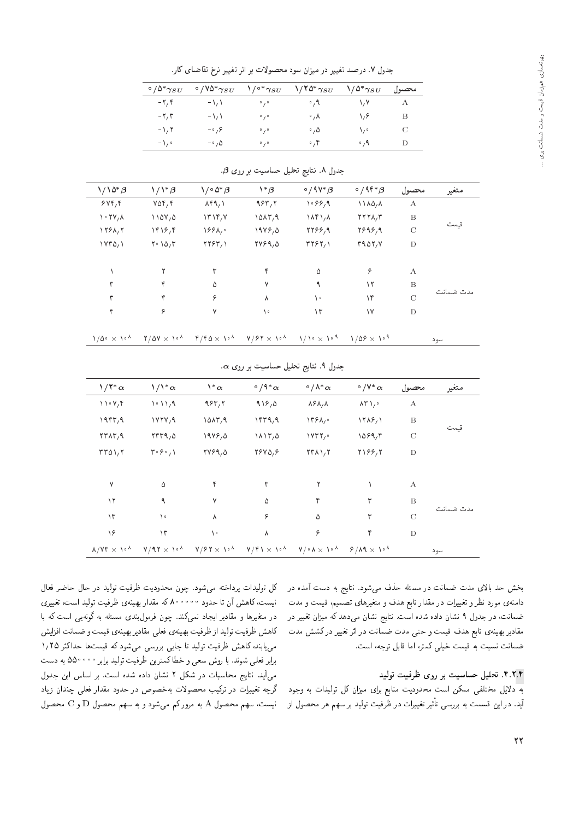جدول ٧. درصد تغيير در ميزان سود محصولات بر اثر تغيير نرخ تقاضاي كار.

| $\degree/\Delta^* \gamma_{SU}$ | $\degree$ /YQ* $\gamma_{SU}$ | $\setminus$ <sup>o *</sup> $\gamma_{SU}$ | $\frac{1}{1000}$   | $\sqrt{\Delta^* \gamma_{SU}}$ | محصبول |
|--------------------------------|------------------------------|------------------------------------------|--------------------|-------------------------------|--------|
| $-\mathbf{Y}\mathbf{y}$        | $-\lambda$                   | 0/0                                      | $\cdot$ , 9        | ۱٬۷                           | А      |
| $-7.7$                         | $-\lambda$                   | 0/0                                      | $\circ$ , $\wedge$ | ۱٬۶                           | В      |
| $-1.7$                         | $-\circ$ , $\circ$           | 0/0                                      | $\cdot$ , $\Delta$ | ۰ ۱                           | C      |
| $-\sqrt{2}$                    | $-\circ$ , $\Delta$          | 0/0                                      | $\cdot$ , ۴        | $\cdot$ , 9                   | Ð      |

|  |  | جدول ۸. نتایج تحلیل حساسیت بر روی 9. |  |  |  |  |
|--|--|--------------------------------------|--|--|--|--|
|--|--|--------------------------------------|--|--|--|--|

| متغير     | محصول            | $\circ$ /94 $\circ$ $\beta$ | $\circ$ / ۹۷ $*$ $\beta$ | $\mathbf{1}^*\boldsymbol{\beta}$ | $\setminus/\circ\varDelta^*\beta$ | $\setminus/\setminus^*\beta$ | $1/\sqrt{2^* \beta}$                 |
|-----------|------------------|-----------------------------|--------------------------|----------------------------------|-----------------------------------|------------------------------|--------------------------------------|
|           | $\boldsymbol{A}$ | 1110,1                      | $\sqrt{98.2}$            | 985,7                            | $\lambda$ ۴۹, ۱                   | $Y\Delta Y, Y$               | 5497                                 |
|           | B                | $Y Y Y \Lambda/T$           | $\lambda$ r $\lambda$    | 10AT,9                           | $\Upsilon \Upsilon$               | 1107,0                       | $\cdot$ $\uparrow$ $\vee$ , $\wedge$ |
| قسمت      | $\mathcal{C}$    | 7898,9                      | 2799,9                   | 1999,0                           | 199                               | $\frac{18}{5}$               | 1281,7                               |
|           | D                | T401/V                      | T191/                    | 7799,0                           | YY5Y, Y                           | $Y \cdot 100$                | $VY^{\alpha}$                        |
|           | А                | ۶                           | ۵                        | ۴                                | ٣                                 |                              |                                      |
|           | B                | ۱۲                          | ٩                        | ٧                                | ۵                                 | ۴                            | ٣                                    |
| مدت ضمانت | $\mathcal{C}$    | ١۴                          | ١٠                       | ٨                                | ۶                                 | ۴                            | ٣                                    |
|           | D                | ۱۷                          | ۱۳                       | ۱۰                               | $\vee$                            | ۶                            | ۴                                    |

|  | $\gamma/\Delta$ $\sim$ $\times$ $\gamma$ $\sim$ $\gamma$ $\sim$ $\gamma$ $\sim$ $\gamma$ $\sim$ $\gamma$ $\sim$ $\gamma$ $\sim$ $\gamma$ $\sim$ $\gamma$ $\sim$ $\gamma$ $\sim$ $\gamma$ $\sim$ $\gamma$ $\sim$ $\gamma$ $\sim$ $\gamma$ $\sim$ $\gamma$ $\sim$ $\gamma$ $\sim$ $\gamma$ $\sim$ $\gamma$ $\sim$ $\gamma$ $\sim$ $\gamma$ $\sim$ $\gamma$ $\sim$ $\gamma$ |  |
|--|--------------------------------------------------------------------------------------------------------------------------------------------------------------------------------------------------------------------------------------------------------------------------------------------------------------------------------------------------------------------------|--|
|  |                                                                                                                                                                                                                                                                                                                                                                          |  |

|                                                   | ∵                                              |                   |                                     |                                               |                                        |                  |           |  |  |  |  |
|---------------------------------------------------|------------------------------------------------|-------------------|-------------------------------------|-----------------------------------------------|----------------------------------------|------------------|-----------|--|--|--|--|
| $1/12 \alpha$                                     | $1/1^{\ast} \alpha$                            | $\lambda^*\alpha$ | $\circ$ / ۹ $^*$ $\alpha$           | $\circ$ / $\wedge^*$ $\alpha$                 | $\circ$ /Y* $\alpha$                   | محصول            | متغير     |  |  |  |  |
| $\bigvee$ $\bigvee$ $\bigvee$ $\bigvee$           | $\left( \cdot \right)$                         | 957,7             | 919,0                               | $\lambda$ ۶ $\lambda$ <sub>/</sub> $\lambda$  | $\lambda \uparrow \lambda$             | $\boldsymbol{A}$ |           |  |  |  |  |
| 1957,9                                            | VYY,9                                          | 10AT,9            | 1579,9                              | $\Upsilon$ $\Lambda$ .                        | $\frac{11}{2}$                         | $\boldsymbol{B}$ |           |  |  |  |  |
| $\mathbf{Y} \mathbf{Y} \mathbf{A} \mathbf{Y}$ , 9 | TTT9,0                                         | $19V$ , $0$       | $\lambda \lambda \Upsilon / \Delta$ | $VTT$ ,                                       | 1099,                                  | $\mathcal{C}$    | قىممت     |  |  |  |  |
| TTAY, Y                                           | $\mathbf{r} \cdot \mathbf{r} \cdot \mathbf{y}$ | <b>TVS9,0</b>     | YYYQ, P                             | $\mathbf{Y} \mathbf{Y} \mathbf{A} \mathbf{Y}$ | Y199/7                                 | $\mathbf D$      |           |  |  |  |  |
| Y                                                 | ۵                                              | ۴                 | ٣                                   | ۲                                             |                                        | А                |           |  |  |  |  |
| ۱۲                                                | ٩                                              | ٧                 | ۵                                   | ۴                                             | ٣                                      | $\boldsymbol{B}$ |           |  |  |  |  |
| $\gamma$                                          | ۱.                                             | Λ                 | ۶                                   | ۵                                             | ٣                                      | $\mathcal{C}$    | مدت ضمانت |  |  |  |  |
| ۱۶                                                | $\mathcal{N}$                                  | ۱۰                | λ                                   | ۶                                             | ۴                                      | D                |           |  |  |  |  |
| $\lambda/\nu r \times 10^{-4}$                    | $V/9.7 \times 10^{-4}$                         | $V/FY \times V^*$ | $V/f \rightarrow \gamma$            | $V/\cdot$ $A \times V \cdot$ <sup>*</sup>     | $8/\lambda$ 9 $\times$ 1. <sup>8</sup> |                  | سود       |  |  |  |  |
|                                                   |                                                |                   |                                     |                                               |                                        |                  |           |  |  |  |  |

 $\alpha$  جدول ۹. نتایج تحلیل حساسیت بر روی

بخش حد بالای مدت ضمانت در مسئله حذف میشود. نتایج به دست آمده در دامنهی مورد نظر و تغییرات در مقدار تابع هدف و متغیرهای تصمیم، قیمت و مدت ضمانت، در جدول ۹ نشان داده شده است. نتایج نشان میدهد که میزان تغییر در مقادیر بهینهی تابع هدف قیمت و حتی مدت ضمانت در اثر تغییر درکشش مدت ضمانت نسبت به قيمت خيلي كمتر، اما قابل توجه، است.

### ۴.۲.۴. تحلیل حساسیت بر روی ظرفیت تولید

سود

به دلایل مختلفی ممکن است محدودیت منابع برای میزان کل تولیدات به وجود اید. در این فسمت به بررسی تاتیر تعییرات در ظرفیت تولید بر سهم هر محصول از<br>.

کل تولیدات پرداخته میشود. چون محدودیت ظرفیت تولید در حال حاضر فعال<br>نیست،کاهش آن تا حدود معمعمکه که مقدار بهینهی ظرفیت تولید است، تغییری بیست، ناهس آن با حدود ۶۰٬۰۰۰ که مقدار بهیه ی طرفیت تولید است، تغییری<br>مینمایست است از سال میکند و ساخت به این کشور است ک در متعیرها و مقادیر ایجاد تمی دلد. چون فرمول بندی مستله به دونهیی است که با<br>منصوبات استفاده استفاده کاهش ظرفیت تولید از ظرفیت بهینهی فعلمی مقادیر بهینهی قیمت و ضمانت افزایش می یابند، کاهش ظرفیت تولید تا جایی بررسی می شود که قیمتها حداکثر ۱٫۲۵ برابر فعلي شوند. با روش سعي و خطاكممترين ظرفيت توليد برابر • • • • ٥٥ به دست میآید. نتایج محاسبات در شکل ٢ نشان داده شده است. بر اساس این جدول گرچه تغییرات در ترکیب محصولات بهخصوص در حدود مقدار فعلی چندان زیاد  $\mathbb C$ نیست، سهم محصول A به مرور کم میشود و به سهم محصول  $\mathbb D$  و  $\mathbb C$  محصول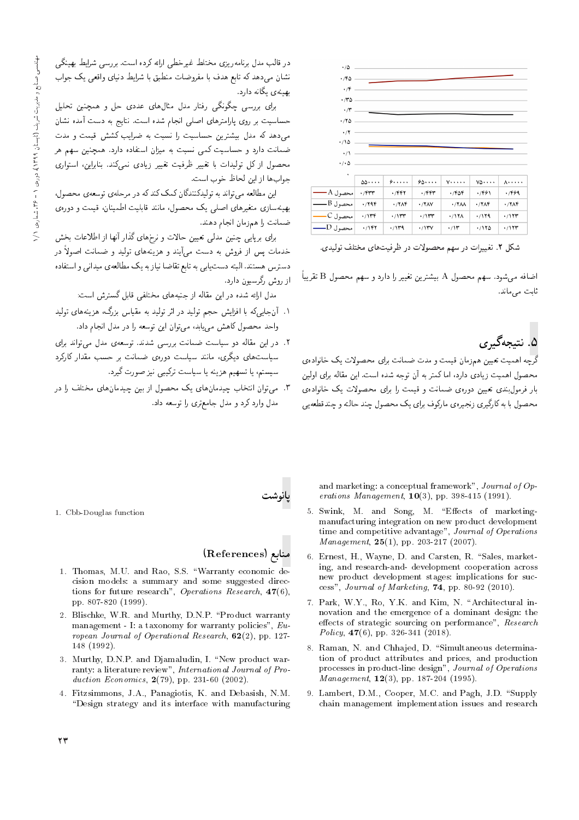| $\cdot/\Delta$                                          |                      |        |       |                       |              |              |
|---------------------------------------------------------|----------------------|--------|-------|-----------------------|--------------|--------------|
| ۲۴۵.                                                    |                      |        |       |                       |              |              |
|                                                         |                      |        |       |                       |              |              |
| $\cdot$ /F .                                            |                      |        |       |                       |              |              |
| ٬۳۵                                                     |                      |        |       |                       |              |              |
| $\cdot$ /r                                              |                      |        |       |                       |              |              |
| .780                                                    |                      |        |       |                       |              |              |
| $\cdot/7$                                               |                      |        |       |                       |              |              |
| ۱۱۵۰                                                    |                      |        |       |                       |              |              |
|                                                         |                      |        |       |                       |              |              |
| $\cdot/1$                                               |                      |        |       |                       |              |              |
| $\cdot$ / $\cdot$ $\circ$                               |                      |        |       |                       |              |              |
| ٠                                                       |                      |        |       |                       |              |              |
|                                                         | $\delta\delta\cdots$ | 9.1.1. | 90    | $V$                   | $v_0 \ldots$ | <b>A.</b>    |
| محصول A_                                                | $\cdot$ /۴۳۳         | ۴۴۲.   | ۴۴۳.  | ۲۵۴،                  | ۱٬۴۶۱        | ۰/۴۶۹        |
| $\overline{\phantom{a}}$ محصول $\overline{\phantom{a}}$ | ۰/۲۹۴                | .77    | .77AY | $\cdot$ /YAA          | .77          | $\cdot$ /۲۸۴ |
| محصول C                                                 | $\cdot$ /۱۳۴         | ۱۱۳۳   | ۱۱۳۳  | $\cdot$ /17 $\lambda$ | ۱۱۲۹.        | ۱۱۲۳.        |
| محصول Dب                                                | ۰/۱۴۲                | ۱۳۹    | ۰/۱۳۷ | $\cdot$ /۱۳           | ۱۲۵/۰        | $\cdot$ /۱۲۳ |

.<br>شکل ۲. تغییرات در سهم محصولات در ظرفیتهای مختلف تولیدی.

 $\frac{1}{1}$ 

اضافه میشود. سهم محصول A بیشترین تغییر را دارد و سهم محصول B تقریباً ثابت مے ماند.

۵. نتىچەگىرى

د<br>گرچه اهمیت تعیین همزمان قیمت و مدت ضمانت برای محصولات یک خانواده ی محصول اهمیت زیادی دارد، اما کمتر به آن توجه شده است. این مقاله برای اولین بار فرمولبندی تعیین دورهی ضمانت و قیمت را برای محصولات یک خانوادهی محصول با به کارگیری زنجیرهی مارکوف برای یک محصول چند حالته و چندقطعه یی

در قالب مدل برنامه٫یزی مختلط غیرخطی ارائه کرده است. بررسی شرایط بهینگی نشان می،دهد که تابع هدف با مفروضات منطبق با شرایط دنیای واقعی یک جواب بهینهی یگانه دارد.

برای بررسی چگونگی رفتار مدل مثالهای عددی حل و همچنین تحلیل حساسیت بر روی پارامترهای اصلی انجام شده است. نتایج به دست آمده نشان مهمدهد که مدل بیشترین حساسیت را نسبت به ضرایب کشش قیمت و مدت ضمانت دارد و حساسیت کمی نسبت به میزان استفاده دارد. همچنین سهم هر محصول ازكل توليدات با تغيير ظرفيت تغيير زيادى نمى كند. بنابراين، استوارى حواب ها از این لحاظ خوب است.

این مطالعه می تواند به تولیدکنندگان کمک کند که در مرحله ی توسعه ی محصول، بهینهسازی متغیرهای اصلی یک محصول، مانند قابلیت اطمینان، قیمت و دورهی ضمانت را همزمان انجام دهند.

برای برپایی چنین مدلمی تعیین حالات و نرخهای گذار آنها از اطلاعات بخش خدمات پس از فروش به دست می آیند و هزینههای تولید و ضمانت اصولاً در دسترس هستند. البته دست یابی به تابع تقاضا نیاز به یک مطالعهی میدانی و استفاده از روش رگرسیون دارد.

مدل ارائه شده در این مقاله از جنبههای مختلفی قابل گسترش است:

- ۱. آنجاییکه با افزایش حجم تولید در اثر تولید به مقیاس بزرگ، هزینههای تولید واحد محصول کاهش می باید، می توان این توسعه را در مدل انجام داد.
- ۲. در این مقاله دو سیاست ضمانت بررسی شدند. توسعهی مدل می تواند برای سیاست های دیگری، مانند سیاست دورهی ضمانت بر حسب مقدار کارکرد .<br>سیستم، یا تسهیم هزینه یا سیاست ترکیبے, نیز صورت گیرد.
- ۳. میتوان انتخاب چیدمانهای یک محصول از بین چیدمانهای مختلف را در مدل وارد کرد و مدل جامعتری را توسعه داد.

and marketing: a conceptual framework", Journal of  $Op$ erations Management,  $10(3)$ , pp. 398-415 (1991).

- 5. Swink, M. and Song, M. "Effects of marketingmanufacturing integration on new product development time and competitive advantage", Journal of Operations  $\label{eq:1} \emph{Management, } \; {\bf 25} (1), \; \rm{pp.} \; 203\text{-}217 \; (2007).$
- 6. Ernest, H., Wayne, D. and Carsten, R. "Sales, marketing, and research-and- development cooperation across new product development stages: implications for success", Journal of Marketing,  $74$ , pp. 80-92 (2010).
- 7. Park, W.Y., Ro, Y.K. and Kim, N. "Architectural innovation and the emergence of a dominant design: the effects of strategic sourcing on performance", Research Policy,  $47(6)$ , pp. 326-341 (2018).
- 8. Raman, N. and Chhaied, D. "Simultaneous determination of product attributes and prices, and production processes in product-line design", Journal of Operations Management,  $12(3)$ , pp. 187-204 (1995).
- 9. Lambert, D.M., Cooper, M.C. and Pagh, J.D. "Supply chain management implementation issues and research

1. Cbb-Douglas function

# منابع (References)

.انوشت

- 1. Thomas, M.U. and Rao, S.S. "Warranty economic decision models: a summary and some suggested directions for future research", Operations Research,  $47(6)$ , pp. 807-820 (1999).
- 2. Blischke, W.R. and Murthy, D.N.P. "Product warranty management - I: a taxonomy for warranty policies",  $Eu$ ropean Journal of Operational Research,  $62(2)$ , pp. 127-148 (1992).
- 3. Murthy, D.N.P. and Djamaludin, I. "New product warranty: a literature review", International Journal of Production Economics,  $2(79)$ , pp. 231-60 (2002).
- 4. Fitzsimmons, J.A., Panagiotis, K. and Debasish, N.M. "Design strategy and its interface with manufacturing